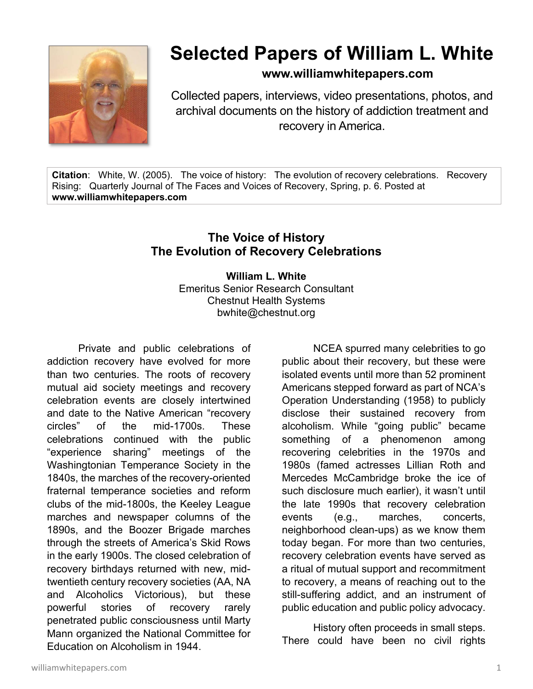

## **Selected Papers of William L. White**

**www.williamwhitepapers.com**

Collected papers, interviews, video presentations, photos, and archival documents on the history of addiction treatment and recovery in America.

**Citation**: White, W. (2005). The voice of history: The evolution of recovery celebrations. Recovery Rising: Quarterly Journal of The Faces and Voices of Recovery, Spring, p. 6. Posted at **www.williamwhitepapers.com** 

## **The Voice of History The Evolution of Recovery Celebrations**

**William L. White**  Emeritus Senior Research Consultant Chestnut Health Systems bwhite@chestnut.org

Private and public celebrations of addiction recovery have evolved for more than two centuries. The roots of recovery mutual aid society meetings and recovery celebration events are closely intertwined and date to the Native American "recovery circles" of the mid-1700s. These celebrations continued with the public "experience sharing" meetings of the Washingtonian Temperance Society in the 1840s, the marches of the recovery-oriented fraternal temperance societies and reform clubs of the mid-1800s, the Keeley League marches and newspaper columns of the 1890s, and the Boozer Brigade marches through the streets of America's Skid Rows in the early 1900s. The closed celebration of recovery birthdays returned with new, midtwentieth century recovery societies (AA, NA and Alcoholics Victorious), but these powerful stories of recovery rarely penetrated public consciousness until Marty Mann organized the National Committee for Education on Alcoholism in 1944.

NCEA spurred many celebrities to go public about their recovery, but these were isolated events until more than 52 prominent Americans stepped forward as part of NCA's Operation Understanding (1958) to publicly disclose their sustained recovery from alcoholism. While "going public" became something of a phenomenon among recovering celebrities in the 1970s and 1980s (famed actresses Lillian Roth and Mercedes McCambridge broke the ice of such disclosure much earlier), it wasn't until the late 1990s that recovery celebration events (e.g., marches, concerts, neighborhood clean-ups) as we know them today began. For more than two centuries, recovery celebration events have served as a ritual of mutual support and recommitment to recovery, a means of reaching out to the still-suffering addict, and an instrument of public education and public policy advocacy.

 History often proceeds in small steps. There could have been no civil rights